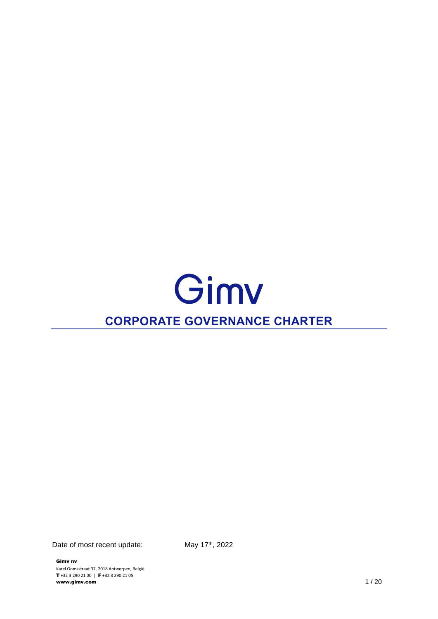# Gimv **CORPORATE GOVERNANCE CHARTER**

Date of most recent update:

Gimv nv Karel Oomsstraat 37, 2018 Antwerpen, België T +32 3 290 21 00 | F +32 3 290 21 05 www.gimv.com 1 / 20

May 17th, 2022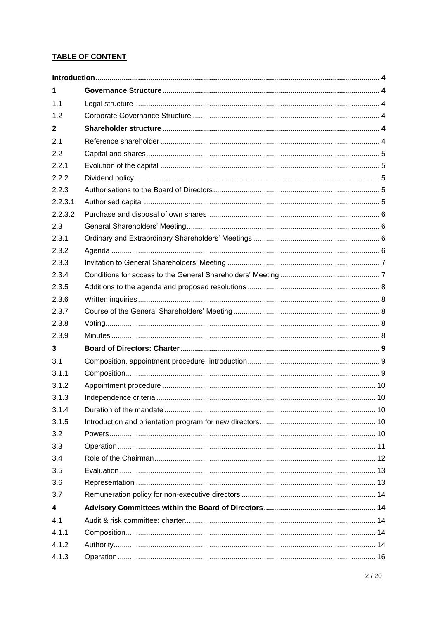# **TABLE OF CONTENT**

| 1            |  |  |  |  |
|--------------|--|--|--|--|
| 1.1          |  |  |  |  |
| 1.2          |  |  |  |  |
| $\mathbf{2}$ |  |  |  |  |
| 2.1          |  |  |  |  |
| 2.2          |  |  |  |  |
| 2.2.1        |  |  |  |  |
| 2.2.2        |  |  |  |  |
| 2.2.3        |  |  |  |  |
| 2.2.3.1      |  |  |  |  |
| 2.2.3.2      |  |  |  |  |
| 2.3          |  |  |  |  |
| 2.3.1        |  |  |  |  |
| 2.3.2        |  |  |  |  |
| 2.3.3        |  |  |  |  |
| 2.3.4        |  |  |  |  |
| 2.3.5        |  |  |  |  |
| 2.3.6        |  |  |  |  |
| 2.3.7        |  |  |  |  |
| 2.3.8        |  |  |  |  |
| 2.3.9        |  |  |  |  |
| 3            |  |  |  |  |
| 3.1          |  |  |  |  |
| 3.1.1        |  |  |  |  |
| 3.1.2        |  |  |  |  |
| 3.1.3        |  |  |  |  |
| 3.1.4        |  |  |  |  |
| 3.1.5        |  |  |  |  |
| 3.2          |  |  |  |  |
| 3.3          |  |  |  |  |
| 3.4          |  |  |  |  |
| 3.5          |  |  |  |  |
| 3.6          |  |  |  |  |
| 3.7          |  |  |  |  |
| 4            |  |  |  |  |
| 4.1          |  |  |  |  |
| 4.1.1        |  |  |  |  |
| 4.1.2        |  |  |  |  |
| 4.1.3        |  |  |  |  |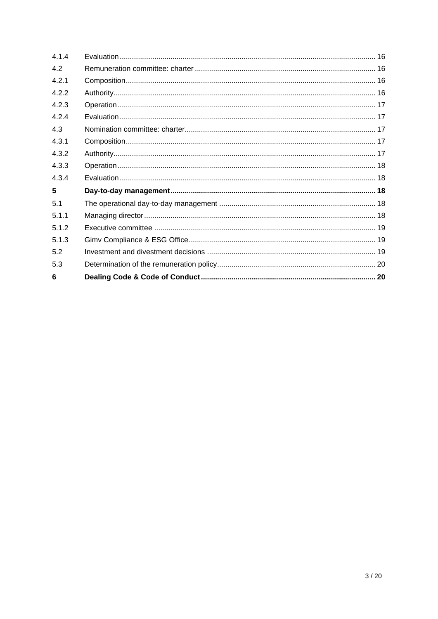| 6     |  |
|-------|--|
| 5.3   |  |
| 5.2   |  |
| 5.1.3 |  |
| 5.1.2 |  |
| 5.1.1 |  |
| 5.1   |  |
| 5     |  |
| 4.3.4 |  |
| 4.3.3 |  |
| 4.3.2 |  |
| 4.3.1 |  |
| 4.3   |  |
| 4.2.4 |  |
| 4.2.3 |  |
| 4.2.2 |  |
| 4.2.1 |  |
| 4.2   |  |
| 4.1.4 |  |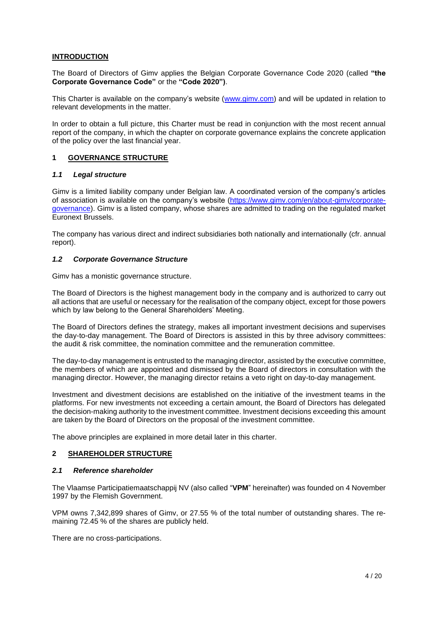## <span id="page-3-0"></span>**INTRODUCTION**

The Board of Directors of Gimv applies the Belgian Corporate Governance Code 2020 (called **"the Corporate Governance Code"** or the **"Code 2020")**.

This Charter is available on the company's website [\(www.gimv.com\)](http://www.gimv.com/) and will be updated in relation to relevant developments in the matter.

In order to obtain a full picture, this Charter must be read in conjunction with the most recent annual report of the company, in which the chapter on corporate governance explains the concrete application of the policy over the last financial year.

## <span id="page-3-1"></span>**1 GOVERNANCE STRUCTURE**

#### <span id="page-3-2"></span>*1.1 Legal structure*

Gimv is a limited liability company under Belgian law. A coordinated version of the company's articles of association is available on the company's website [\(https://www.gimv.com/en/about-gimv/corporate](https://www.gimv.com/en/about-gimv/corporate-governance)[governance\)](https://www.gimv.com/en/about-gimv/corporate-governance). Gimv is a listed company, whose shares are admitted to trading on the regulated market Euronext Brussels.

The company has various direct and indirect subsidiaries both nationally and internationally (cfr. annual report).

#### <span id="page-3-3"></span>*1.2 Corporate Governance Structure*

Gimv has a monistic governance structure.

The Board of Directors is the highest management body in the company and is authorized to carry out all actions that are useful or necessary for the realisation of the company object, except for those powers which by law belong to the General Shareholders' Meeting.

The Board of Directors defines the strategy, makes all important investment decisions and supervises the day-to-day management. The Board of Directors is assisted in this by three advisory committees: the audit & risk committee, the nomination committee and the remuneration committee.

The day-to-day management is entrusted to the managing director, assisted by the executive committee, the members of which are appointed and dismissed by the Board of directors in consultation with the managing director. However, the managing director retains a veto right on day-to-day management.

Investment and divestment decisions are established on the initiative of the investment teams in the platforms. For new investments not exceeding a certain amount, the Board of Directors has delegated the decision-making authority to the investment committee. Investment decisions exceeding this amount are taken by the Board of Directors on the proposal of the investment committee.

The above principles are explained in more detail later in this charter.

#### <span id="page-3-4"></span>**2 SHAREHOLDER STRUCTURE**

### <span id="page-3-5"></span>*2.1 Reference shareholder*

The Vlaamse Participatiemaatschappij NV (also called "**VPM**" hereinafter) was founded on 4 November 1997 by the Flemish Government.

VPM owns 7,342,899 shares of Gimv, or 27.55 % of the total number of outstanding shares. The remaining 72.45 % of the shares are publicly held.

There are no cross-participations.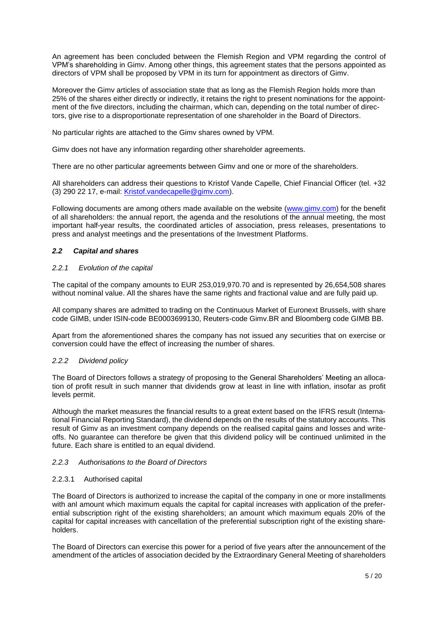An agreement has been concluded between the Flemish Region and VPM regarding the control of VPM's shareholding in Gimv. Among other things, this agreement states that the persons appointed as directors of VPM shall be proposed by VPM in its turn for appointment as directors of Gimv.

Moreover the Gimv articles of association state that as long as the Flemish Region holds more than 25% of the shares either directly or indirectly, it retains the right to present nominations for the appointment of the five directors, including the chairman, which can, depending on the total number of directors, give rise to a disproportionate representation of one shareholder in the Board of Directors.

No particular rights are attached to the Gimv shares owned by VPM.

Gimv does not have any information regarding other shareholder agreements.

There are no other particular agreements between Gimv and one or more of the shareholders.

All shareholders can address their questions to Kristof Vande Capelle, Chief Financial Officer (tel. +32 (3) 290 22 17, e-mail: [Kristof.vandecapelle@gimv.com\)](mailto:Kristof.vandecapelle@gimv.com).

Following documents are among others made available on the website [\(www.gimv.com\)](http://www.gimv.com/) for the benefit of all shareholders: the annual report, the agenda and the resolutions of the annual meeting, the most important half-year results, the coordinated articles of association, press releases, presentations to press and analyst meetings and the presentations of the Investment Platforms.

# <span id="page-4-0"></span>*2.2 Capital and shares*

# <span id="page-4-1"></span>*2.2.1 Evolution of the capital*

The capital of the company amounts to EUR 253,019,970.70 and is represented by 26,654,508 shares without nominal value. All the shares have the same rights and fractional value and are fully paid up.

All company shares are admitted to trading on the Continuous Market of Euronext Brussels, with share code GIMB, under ISIN-code BE0003699130, Reuters-code Gimv.BR and Bloomberg code GIMB BB.

Apart from the aforementioned shares the company has not issued any securities that on exercise or conversion could have the effect of increasing the number of shares.

# <span id="page-4-2"></span>*2.2.2 Dividend policy*

The Board of Directors follows a strategy of proposing to the General Shareholders' Meeting an allocation of profit result in such manner that dividends grow at least in line with inflation, insofar as profit levels permit.

Although the market measures the financial results to a great extent based on the IFRS result (International Financial Reporting Standard), the dividend depends on the results of the statutory accounts. This result of Gimv as an investment company depends on the realised capital gains and losses and writeoffs. No guarantee can therefore be given that this dividend policy will be continued unlimited in the future. Each share is entitled to an equal dividend.

# <span id="page-4-3"></span>*2.2.3 Authorisations to the Board of Directors*

# <span id="page-4-4"></span>2.2.3.1 Authorised capital

The Board of Directors is authorized to increase the capital of the company in one or more installments with anl amount which maximum equals the capital for capital increases with application of the preferential subscription right of the existing shareholders; an amount which maximum equals 20% of the capital for capital increases with cancellation of the preferential subscription right of the existing shareholders.

The Board of Directors can exercise this power for a period of five years after the announcement of the amendment of the articles of association decided by the Extraordinary General Meeting of shareholders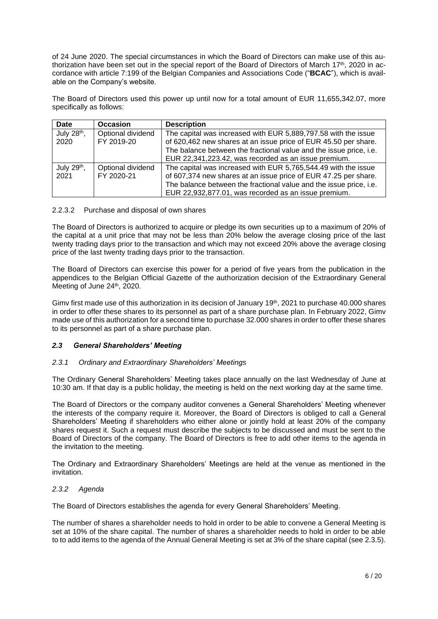of 24 June 2020. The special circumstances in which the Board of Directors can make use of this authorization have been set out in the special report of the Board of Directors of March 17<sup>th</sup>, 2020 in accordance with article 7:199 of the Belgian Companies and Associations Code ("**BCAC**"), which is available on the Company's website.

The Board of Directors used this power up until now for a total amount of EUR 11,655,342.07, more specifically as follows:

| <b>Date</b>             | <b>Occasion</b>   | <b>Description</b>                                                 |
|-------------------------|-------------------|--------------------------------------------------------------------|
| July 28 <sup>th</sup> , | Optional dividend | The capital was increased with EUR 5,889,797.58 with the issue     |
| 2020                    | FY 2019-20        | of 620,462 new shares at an issue price of EUR 45.50 per share.    |
|                         |                   | The balance between the fractional value and the issue price, i.e. |
|                         |                   | EUR 22,341,223.42, was recorded as an issue premium.               |
| July 29th,              | Optional dividend | The capital was increased with EUR 5,765,544.49 with the issue     |
| 2021                    | FY 2020-21        | of 607,374 new shares at an issue price of EUR 47.25 per share.    |
|                         |                   | The balance between the fractional value and the issue price, i.e. |
|                         |                   | EUR 22,932,877.01, was recorded as an issue premium.               |

#### <span id="page-5-0"></span>2.2.3.2 Purchase and disposal of own shares

The Board of Directors is authorized to acquire or pledge its own securities up to a maximum of 20% of the capital at a unit price that may not be less than 20% below the average closing price of the last twenty trading days prior to the transaction and which may not exceed 20% above the average closing price of the last twenty trading days prior to the transaction.

The Board of Directors can exercise this power for a period of five years from the publication in the appendices to the Belgian Official Gazette of the authorization decision of the Extraordinary General Meeting of June 24<sup>th</sup>, 2020.

Gimv first made use of this authorization in its decision of January 19<sup>th</sup>, 2021 to purchase 40.000 shares in order to offer these shares to its personnel as part of a share purchase plan. In February 2022, Gimv made use of this authorization for a second time to purchase 32.000 shares in order to offer these shares to its personnel as part of a share purchase plan.

# <span id="page-5-1"></span>*2.3 General Shareholders' Meeting*

# <span id="page-5-2"></span>*2.3.1 Ordinary and Extraordinary Shareholders' Meetings*

The Ordinary General Shareholders' Meeting takes place annually on the last Wednesday of June at 10:30 am. If that day is a public holiday, the meeting is held on the next working day at the same time.

The Board of Directors or the company auditor convenes a General Shareholders' Meeting whenever the interests of the company require it. Moreover, the Board of Directors is obliged to call a General Shareholders' Meeting if shareholders who either alone or jointly hold at least 20% of the company shares request it. Such a request must describe the subjects to be discussed and must be sent to the Board of Directors of the company. The Board of Directors is free to add other items to the agenda in the invitation to the meeting.

The Ordinary and Extraordinary Shareholders' Meetings are held at the venue as mentioned in the invitation.

### <span id="page-5-3"></span>*2.3.2 Agenda*

The Board of Directors establishes the agenda for every General Shareholders' Meeting.

The number of shares a shareholder needs to hold in order to be able to convene a General Meeting is set at 10% of the share capital. The number of shares a shareholder needs to hold in order to be able to to add items to the agenda of the Annual General Meeting is set at 3% of the share capital (see [2.3.5\)](#page-7-0).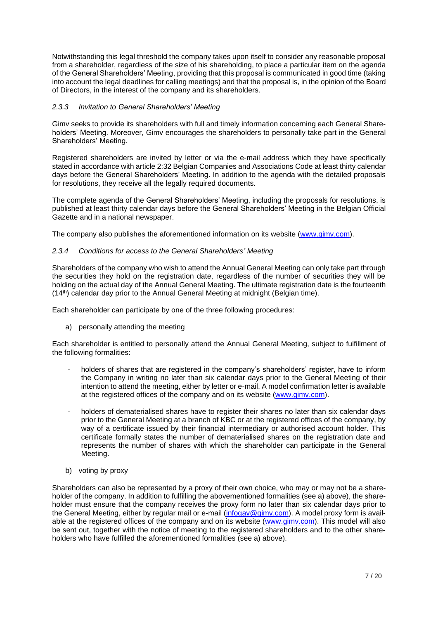Notwithstanding this legal threshold the company takes upon itself to consider any reasonable proposal from a shareholder, regardless of the size of his shareholding, to place a particular item on the agenda of the General Shareholders' Meeting, providing that this proposal is communicated in good time (taking into account the legal deadlines for calling meetings) and that the proposal is, in the opinion of the Board of Directors, in the interest of the company and its shareholders.

## <span id="page-6-0"></span>*2.3.3 Invitation to General Shareholders' Meeting*

Gimv seeks to provide its shareholders with full and timely information concerning each General Shareholders' Meeting. Moreover, Gimv encourages the shareholders to personally take part in the General Shareholders' Meeting.

Registered shareholders are invited by letter or via the e-mail address which they have specifically stated in accordance with article 2:32 Belgian Companies and Associations Code at least thirty calendar days before the General Shareholders' Meeting. In addition to the agenda with the detailed proposals for resolutions, they receive all the legally required documents.

The complete agenda of the General Shareholders' Meeting, including the proposals for resolutions, is published at least thirty calendar days before the General Shareholders' Meeting in the Belgian Official Gazette and in a national newspaper.

The company also publishes the aforementioned information on its website [\(www.gimv.com\)](http://www.gimv.com/).

## <span id="page-6-1"></span>*2.3.4 Conditions for access to the General Shareholders' Meeting*

Shareholders of the company who wish to attend the Annual General Meeting can only take part through the securities they hold on the registration date, regardless of the number of securities they will be holding on the actual day of the Annual General Meeting. The ultimate registration date is the fourteenth (14th) calendar day prior to the Annual General Meeting at midnight (Belgian time).

Each shareholder can participate by one of the three following procedures:

a) personally attending the meeting

Each shareholder is entitled to personally attend the Annual General Meeting, subject to fulfillment of the following formalities:

- holders of shares that are registered in the company's shareholders' register, have to inform the Company in writing no later than six calendar days prior to the General Meeting of their intention to attend the meeting, either by letter or e-mail. A model confirmation letter is available at the registered offices of the company and on its website [\(www.gimv.com\)](http://www.gimv.com/).
- holders of dematerialised shares have to register their shares no later than six calendar days prior to the General Meeting at a branch of KBC or at the registered offices of the company, by way of a certificate issued by their financial intermediary or authorised account holder. This certificate formally states the number of dematerialised shares on the registration date and represents the number of shares with which the shareholder can participate in the General Meeting.
- b) voting by proxy

Shareholders can also be represented by a proxy of their own choice, who may or may not be a shareholder of the company. In addition to fulfilling the abovementioned formalities (see a) above), the shareholder must ensure that the company receives the proxy form no later than six calendar days prior to the General Meeting, either by regular mail or e-mail [\(infogav@gimv.com\)](mailto:infogav@gimv.com). A model proxy form is avail-able at the registered offices of the company and on its website [\(www.gimv.com\)](http://www.gimv.com/). This model will also be sent out, together with the notice of meeting to the registered shareholders and to the other shareholders who have fulfilled the aforementioned formalities (see a) above).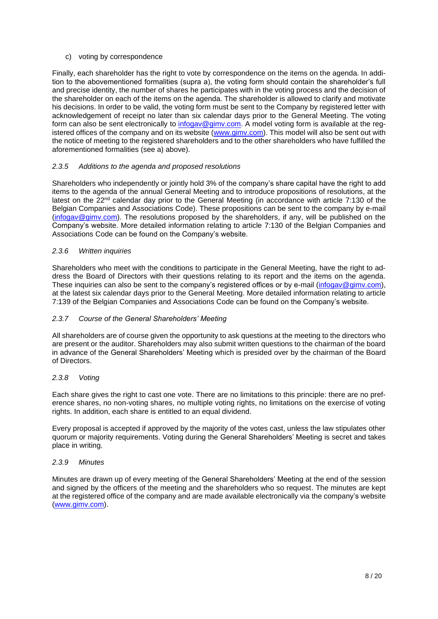## c) voting by correspondence

Finally, each shareholder has the right to vote by correspondence on the items on the agenda. In addition to the abovementioned formalities (supra a), the voting form should contain the shareholder's full and precise identity, the number of shares he participates with in the voting process and the decision of the shareholder on each of the items on the agenda. The shareholder is allowed to clarify and motivate his decisions. In order to be valid, the voting form must be sent to the Company by registered letter with acknowledgement of receipt no later than six calendar days prior to the General Meeting. The voting form can also be sent electronically to [infogav@gimv.com.](mailto:infogav@gimv.com) A model voting form is available at the reg-istered offices of the company and on its website [\(www.gimv.com\)](http://www.gimv.com/). This model will also be sent out with the notice of meeting to the registered shareholders and to the other shareholders who have fulfilled the aforementioned formalities (see a) above).

# <span id="page-7-0"></span>*2.3.5 Additions to the agenda and proposed resolutions*

Shareholders who independently or jointly hold 3% of the company's share capital have the right to add items to the agenda of the annual General Meeting and to introduce propositions of resolutions, at the latest on the 22<sup>nd</sup> calendar day prior to the General Meeting (in accordance with article 7:130 of the Belgian Companies and Associations Code). These propositions can be sent to the company by e-mail [\(infogav@gimv.com\)](mailto:infogav@gimv.com). The resolutions proposed by the shareholders, if any, will be published on the Company's website. More detailed information relating to article 7:130 of the Belgian Companies and Associations Code can be found on the Company's website.

## <span id="page-7-1"></span>*2.3.6 Written inquiries*

Shareholders who meet with the conditions to participate in the General Meeting, have the right to address the Board of Directors with their questions relating to its report and the items on the agenda. These inquiries can also be sent to the company's registered offices or by e-mail [\(infogav@gimv.com\)](mailto:infogav@gimv.com), at the latest six calendar days prior to the General Meeting. More detailed information relating to article 7:139 of the Belgian Companies and Associations Code can be found on the Company's website.

## <span id="page-7-2"></span>*2.3.7 Course of the General Shareholders' Meeting*

All shareholders are of course given the opportunity to ask questions at the meeting to the directors who are present or the auditor. Shareholders may also submit written questions to the chairman of the board in advance of the General Shareholders' Meeting which is presided over by the chairman of the Board of Directors.

#### <span id="page-7-3"></span>*2.3.8 Voting*

Each share gives the right to cast one vote. There are no limitations to this principle: there are no preference shares, no non-voting shares, no multiple voting rights, no limitations on the exercise of voting rights. In addition, each share is entitled to an equal dividend.

Every proposal is accepted if approved by the majority of the votes cast, unless the law stipulates other quorum or majority requirements. Voting during the General Shareholders' Meeting is secret and takes place in writing.

## <span id="page-7-4"></span>*2.3.9 Minutes*

Minutes are drawn up of every meeting of the General Shareholders' Meeting at the end of the session and signed by the officers of the meeting and the shareholders who so request. The minutes are kept at the registered office of the company and are made available electronically via the company's website [\(www.gimv.com\)](http://www.gimv.com/).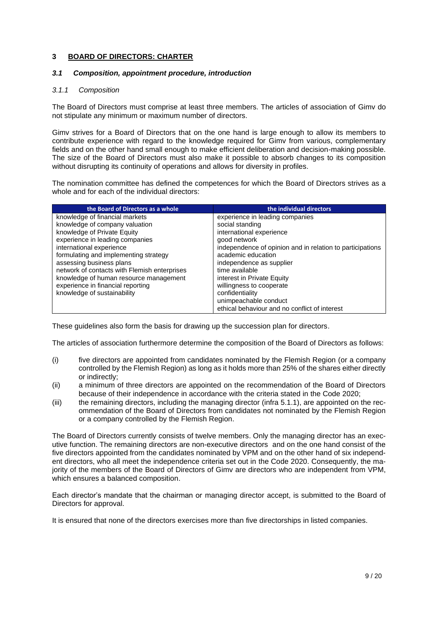# <span id="page-8-0"></span>**3 BOARD OF DIRECTORS: CHARTER**

## <span id="page-8-1"></span>*3.1 Composition, appointment procedure, introduction*

## <span id="page-8-2"></span>*3.1.1 Composition*

The Board of Directors must comprise at least three members. The articles of association of Gimv do not stipulate any minimum or maximum number of directors.

Gimv strives for a Board of Directors that on the one hand is large enough to allow its members to contribute experience with regard to the knowledge required for Gimv from various, complementary fields and on the other hand small enough to make efficient deliberation and decision-making possible. The size of the Board of Directors must also make it possible to absorb changes to its composition without disrupting its continuity of operations and allows for diversity in profiles.

The nomination committee has defined the competences for which the Board of Directors strives as a whole and for each of the individual directors:

| the Board of Directors as a whole            | the individual directors                                  |
|----------------------------------------------|-----------------------------------------------------------|
| knowledge of financial markets               | experience in leading companies                           |
| knowledge of company valuation               | social standing                                           |
| knowledge of Private Equity                  | international experience                                  |
| experience in leading companies              | good network                                              |
| international experience                     | independence of opinion and in relation to participations |
| formulating and implementing strategy        | academic education                                        |
| assessing business plans                     | independence as supplier                                  |
| network of contacts with Flemish enterprises | time available                                            |
| knowledge of human resource management       | interest in Private Equity                                |
| experience in financial reporting            | willingness to cooperate                                  |
| knowledge of sustainability                  | confidentiality                                           |
|                                              | unimpeachable conduct                                     |
|                                              | ethical behaviour and no conflict of interest             |

These guidelines also form the basis for drawing up the succession plan for directors.

The articles of association furthermore determine the composition of the Board of Directors as follows:

- (i) five directors are appointed from candidates nominated by the Flemish Region (or a company controlled by the Flemish Region) as long as it holds more than 25% of the shares either directly or indirectly;
- (ii) a minimum of three directors are appointed on the recommendation of the Board of Directors because of their independence in accordance with the criteria stated in the Code 2020;
- (iii) the remaining directors, including the managing director (infra [5.1.1\)](#page-17-4), are appointed on the recommendation of the Board of Directors from candidates not nominated by the Flemish Region or a company controlled by the Flemish Region.

The Board of Directors currently consists of twelve members. Only the managing director has an executive function. The remaining directors are non-executive directors and on the one hand consist of the five directors appointed from the candidates nominated by VPM and on the other hand of six independent directors, who all meet the independence criteria set out in the Code 2020. Consequently, the majority of the members of the Board of Directors of Gimv are directors who are independent from VPM, which ensures a balanced composition.

Each director's mandate that the chairman or managing director accept, is submitted to the Board of Directors for approval.

It is ensured that none of the directors exercises more than five directorships in listed companies.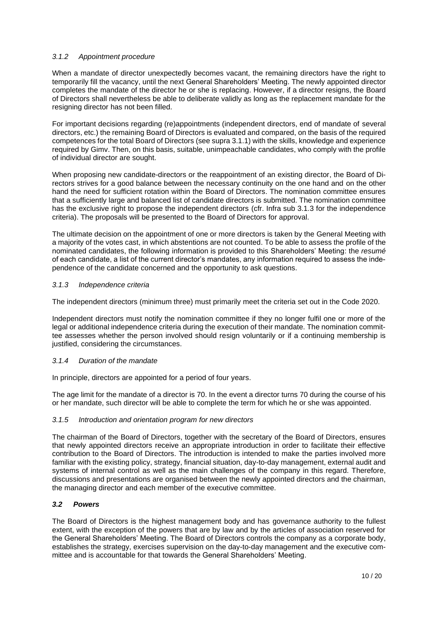## <span id="page-9-0"></span>*3.1.2 Appointment procedure*

When a mandate of director unexpectedly becomes vacant, the remaining directors have the right to temporarily fill the vacancy, until the next General Shareholders' Meeting. The newly appointed director completes the mandate of the director he or she is replacing. However, if a director resigns, the Board of Directors shall nevertheless be able to deliberate validly as long as the replacement mandate for the resigning director has not been filled.

For important decisions regarding (re)appointments (independent directors, end of mandate of several directors, etc.) the remaining Board of Directors is evaluated and compared, on the basis of the required competences for the total Board of Directors (see supra [3.1.1\)](#page-8-2) with the skills, knowledge and experience required by Gimv. Then, on this basis, suitable, unimpeachable candidates, who comply with the profile of individual director are sought.

When proposing new candidate-directors or the reappointment of an existing director, the Board of Directors strives for a good balance between the necessary continuity on the one hand and on the other hand the need for sufficient rotation within the Board of Directors. The nomination committee ensures that a sufficiently large and balanced list of candidate directors is submitted. The nomination committee has the exclusive right to propose the independent directors (cfr. Infra sub [3.1.3](#page-9-1) for the independence criteria). The proposals will be presented to the Board of Directors for approval.

The ultimate decision on the appointment of one or more directors is taken by the General Meeting with a majority of the votes cast, in which abstentions are not counted. To be able to assess the profile of the nominated candidates, the following information is provided to this Shareholders' Meeting: the *resumé* of each candidate, a list of the current director's mandates, any information required to assess the independence of the candidate concerned and the opportunity to ask questions.

#### <span id="page-9-1"></span>*3.1.3 Independence criteria*

The independent directors (minimum three) must primarily meet the criteria set out in the Code 2020.

Independent directors must notify the nomination committee if they no longer fulfil one or more of the legal or additional independence criteria during the execution of their mandate. The nomination committee assesses whether the person involved should resign voluntarily or if a continuing membership is justified, considering the circumstances.

#### <span id="page-9-2"></span>*3.1.4 Duration of the mandate*

In principle, directors are appointed for a period of four years.

The age limit for the mandate of a director is 70. In the event a director turns 70 during the course of his or her mandate, such director will be able to complete the term for which he or she was appointed.

#### <span id="page-9-3"></span>*3.1.5 Introduction and orientation program for new directors*

The chairman of the Board of Directors, together with the secretary of the Board of Directors, ensures that newly appointed directors receive an appropriate introduction in order to facilitate their effective contribution to the Board of Directors. The introduction is intended to make the parties involved more familiar with the existing policy, strategy, financial situation, day-to-day management, external audit and systems of internal control as well as the main challenges of the company in this regard. Therefore, discussions and presentations are organised between the newly appointed directors and the chairman, the managing director and each member of the executive committee.

# <span id="page-9-4"></span>*3.2 Powers*

The Board of Directors is the highest management body and has governance authority to the fullest extent, with the exception of the powers that are by law and by the articles of association reserved for the General Shareholders' Meeting. The Board of Directors controls the company as a corporate body, establishes the strategy, exercises supervision on the day-to-day management and the executive committee and is accountable for that towards the General Shareholders' Meeting.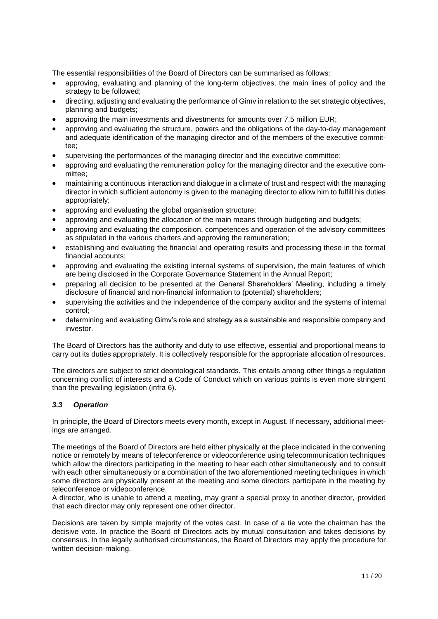The essential responsibilities of the Board of Directors can be summarised as follows:

- approving, evaluating and planning of the long-term objectives, the main lines of policy and the strategy to be followed;
- directing, adjusting and evaluating the performance of Gimv in relation to the set strategic objectives, planning and budgets;
- approving the main investments and divestments for amounts over 7.5 million EUR;
- approving and evaluating the structure, powers and the obligations of the day-to-day management and adequate identification of the managing director and of the members of the executive committee;
- supervising the performances of the managing director and the executive committee;
- approving and evaluating the remuneration policy for the managing director and the executive committee;
- maintaining a continuous interaction and dialogue in a climate of trust and respect with the managing director in which sufficient autonomy is given to the managing director to allow him to fulfill his duties appropriately;
- approving and evaluating the global organisation structure;
- approving and evaluating the allocation of the main means through budgeting and budgets;
- approving and evaluating the composition, competences and operation of the advisory committees as stipulated in the various charters and approving the remuneration;
- establishing and evaluating the financial and operating results and processing these in the formal financial accounts;
- approving and evaluating the existing internal systems of supervision, the main features of which are being disclosed in the Corporate Governance Statement in the Annual Report;
- preparing all decision to be presented at the General Shareholders' Meeting, including a timely disclosure of financial and non-financial information to (potential) shareholders;
- supervising the activities and the independence of the company auditor and the systems of internal control;
- determining and evaluating Gimv's role and strategy as a sustainable and responsible company and investor.

The Board of Directors has the authority and duty to use effective, essential and proportional means to carry out its duties appropriately. It is collectively responsible for the appropriate allocation of resources.

The directors are subject to strict deontological standards. This entails among other things a regulation concerning conflict of interests and a Code of Conduct which on various points is even more stringent than the prevailing legislation (infra [6\)](#page-19-1).

# <span id="page-10-0"></span>*3.3 Operation*

In principle, the Board of Directors meets every month, except in August. If necessary, additional meetings are arranged.

The meetings of the Board of Directors are held either physically at the place indicated in the convening notice or remotely by means of teleconference or videoconference using telecommunication techniques which allow the directors participating in the meeting to hear each other simultaneously and to consult with each other simultaneously or a combination of the two aforementioned meeting techniques in which some directors are physically present at the meeting and some directors participate in the meeting by teleconference or videoconference.

A director, who is unable to attend a meeting, may grant a special proxy to another director, provided that each director may only represent one other director.

Decisions are taken by simple majority of the votes cast. In case of a tie vote the chairman has the decisive vote. In practice the Board of Directors acts by mutual consultation and takes decisions by consensus. In the legally authorised circumstances, the Board of Directors may apply the procedure for written decision-making.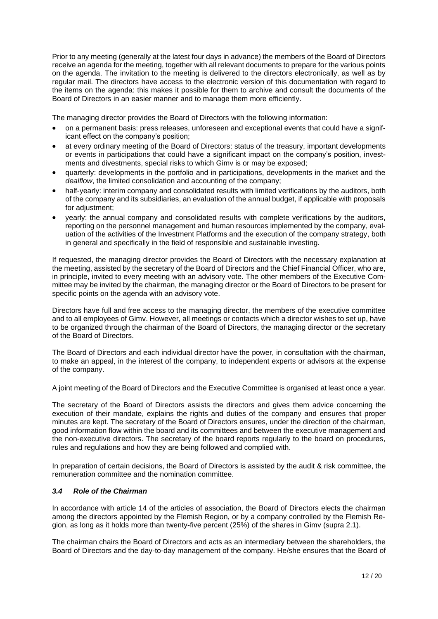Prior to any meeting (generally at the latest four days in advance) the members of the Board of Directors receive an agenda for the meeting, together with all relevant documents to prepare for the various points on the agenda. The invitation to the meeting is delivered to the directors electronically, as well as by regular mail. The directors have access to the electronic version of this documentation with regard to the items on the agenda: this makes it possible for them to archive and consult the documents of the Board of Directors in an easier manner and to manage them more efficiently.

The managing director provides the Board of Directors with the following information:

- on a permanent basis: press releases, unforeseen and exceptional events that could have a significant effect on the company's position;
- at every ordinary meeting of the Board of Directors: status of the treasury, important developments or events in participations that could have a significant impact on the company's position, investments and divestments, special risks to which Gimv is or may be exposed;
- quarterly: developments in the portfolio and in participations, developments in the market and the *dealflow*, the limited consolidation and accounting of the company;
- half-yearly: interim company and consolidated results with limited verifications by the auditors, both of the company and its subsidiaries, an evaluation of the annual budget, if applicable with proposals for adjustment:
- yearly: the annual company and consolidated results with complete verifications by the auditors, reporting on the personnel management and human resources implemented by the company, evaluation of the activities of the Investment Platforms and the execution of the company strategy, both in general and specifically in the field of responsible and sustainable investing.

If requested, the managing director provides the Board of Directors with the necessary explanation at the meeting, assisted by the secretary of the Board of Directors and the Chief Financial Officer, who are, in principle, invited to every meeting with an advisory vote. The other members of the Executive Committee may be invited by the chairman, the managing director or the Board of Directors to be present for specific points on the agenda with an advisory vote.

Directors have full and free access to the managing director, the members of the executive committee and to all employees of Gimv. However, all meetings or contacts which a director wishes to set up, have to be organized through the chairman of the Board of Directors, the managing director or the secretary of the Board of Directors.

The Board of Directors and each individual director have the power, in consultation with the chairman, to make an appeal, in the interest of the company, to independent experts or advisors at the expense of the company.

A joint meeting of the Board of Directors and the Executive Committee is organised at least once a year.

The secretary of the Board of Directors assists the directors and gives them advice concerning the execution of their mandate, explains the rights and duties of the company and ensures that proper minutes are kept. The secretary of the Board of Directors ensures, under the direction of the chairman, good information flow within the board and its committees and between the executive management and the non-executive directors. The secretary of the board reports regularly to the board on procedures, rules and regulations and how they are being followed and complied with.

In preparation of certain decisions, the Board of Directors is assisted by the audit & risk committee, the remuneration committee and the nomination committee.

# <span id="page-11-0"></span>*3.4 Role of the Chairman*

In accordance with article 14 of the articles of association, the Board of Directors elects the chairman among the directors appointed by the Flemish Region, or by a company controlled by the Flemish Region, as long as it holds more than twenty-five percent (25%) of the shares in Gimv (supra [2.1\)](#page-3-5).

The chairman chairs the Board of Directors and acts as an intermediary between the shareholders, the Board of Directors and the day-to-day management of the company. He/she ensures that the Board of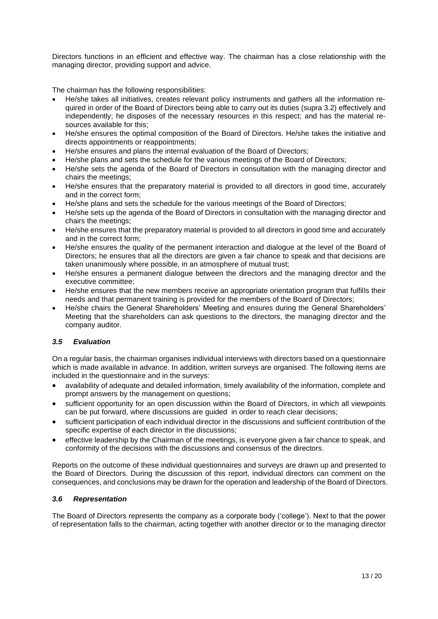Directors functions in an efficient and effective way. The chairman has a close relationship with the managing director, providing support and advice.

The chairman has the following responsibilities:

- He/she takes all initiatives, creates relevant policy instruments and gathers all the information required in order of the Board of Directors being able to carry out its duties (supra 3.2) effectively and independently; he disposes of the necessary resources in this respect; and has the material resources available for this;
- He/she ensures the optimal composition of the Board of Directors. He/she takes the initiative and directs appointments or reappointments;
- He/she ensures and plans the internal evaluation of the Board of Directors;
- He/she plans and sets the schedule for the various meetings of the Board of Directors;
- He/she sets the agenda of the Board of Directors in consultation with the managing director and chairs the meetings;
- He/she ensures that the preparatory material is provided to all directors in good time, accurately and in the correct form;
- He/she plans and sets the schedule for the various meetings of the Board of Directors;
- He/she sets up the agenda of the Board of Directors in consultation with the managing director and chairs the meetings;
- He/she ensures that the preparatory material is provided to all directors in good time and accurately and in the correct form;
- He/she ensures the quality of the permanent interaction and dialogue at the level of the Board of Directors; he ensures that all the directors are given a fair chance to speak and that decisions are taken unanimously where possible, in an atmosphere of mutual trust;
- He/she ensures a permanent dialogue between the directors and the managing director and the executive committee;
- He/she ensures that the new members receive an appropriate orientation program that fulfills their needs and that permanent training is provided for the members of the Board of Directors;
- He/she chairs the General Shareholders' Meeting and ensures during the General Shareholders' Meeting that the shareholders can ask questions to the directors, the managing director and the company auditor.

# <span id="page-12-0"></span>*3.5 Evaluation*

On a regular basis, the chairman organises individual interviews with directors based on a questionnaire which is made available in advance. In addition, written surveys are organised. The following items are included in the questionnaire and in the surveys:

- availability of adequate and detailed information, timely availability of the information, complete and prompt answers by the management on questions;
- sufficient opportunity for an open discussion within the Board of Directors, in which all viewpoints can be put forward, where discussions are guided in order to reach clear decisions;
- sufficient participation of each individual director in the discussions and sufficient contribution of the specific expertise of each director in the discussions;
- effective leadership by the Chairman of the meetings, is everyone given a fair chance to speak, and conformity of the decisions with the discussions and consensus of the directors.

Reports on the outcome of these individual questionnaires and surveys are drawn up and presented to the Board of Directors. During the discussion of this report, individual directors can comment on the consequences, and conclusions may be drawn for the operation and leadership of the Board of Directors.

## <span id="page-12-1"></span>*3.6 Representation*

The Board of Directors represents the company as a corporate body ('college'). Next to that the power of representation falls to the chairman, acting together with another director or to the managing director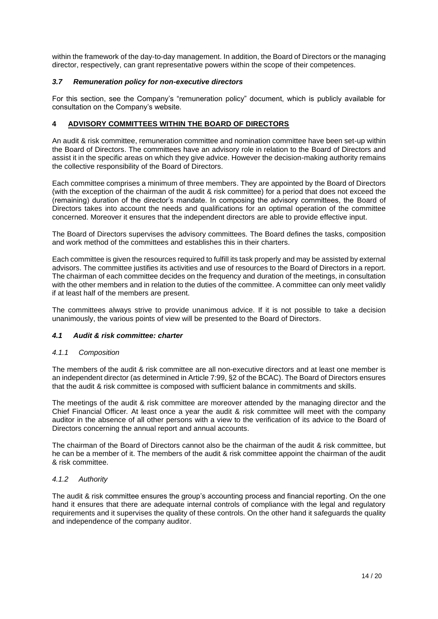within the framework of the day-to-day management. In addition, the Board of Directors or the managing director, respectively, can grant representative powers within the scope of their competences.

## <span id="page-13-0"></span>*3.7 Remuneration policy for non-executive directors*

For this section, see the Company's "remuneration policy" document, which is publicly available for consultation on the Company's website.

## <span id="page-13-1"></span>**4 ADVISORY COMMITTEES WITHIN THE BOARD OF DIRECTORS**

An audit & risk committee, remuneration committee and nomination committee have been set-up within the Board of Directors. The committees have an advisory role in relation to the Board of Directors and assist it in the specific areas on which they give advice. However the decision-making authority remains the collective responsibility of the Board of Directors.

Each committee comprises a minimum of three members. They are appointed by the Board of Directors (with the exception of the chairman of the audit & risk committee) for a period that does not exceed the (remaining) duration of the director's mandate. In composing the advisory committees, the Board of Directors takes into account the needs and qualifications for an optimal operation of the committee concerned. Moreover it ensures that the independent directors are able to provide effective input.

The Board of Directors supervises the advisory committees. The Board defines the tasks, composition and work method of the committees and establishes this in their charters.

Each committee is given the resources required to fulfill its task properly and may be assisted by external advisors. The committee justifies its activities and use of resources to the Board of Directors in a report. The chairman of each committee decides on the frequency and duration of the meetings, in consultation with the other members and in relation to the duties of the committee. A committee can only meet validly if at least half of the members are present.

The committees always strive to provide unanimous advice. If it is not possible to take a decision unanimously, the various points of view will be presented to the Board of Directors.

## <span id="page-13-2"></span>*4.1 Audit & risk committee: charter*

#### <span id="page-13-3"></span>*4.1.1 Composition*

The members of the audit & risk committee are all non-executive directors and at least one member is an independent director (as determined in Article 7:99, §2 of the BCAC). The Board of Directors ensures that the audit & risk committee is composed with sufficient balance in commitments and skills.

The meetings of the audit & risk committee are moreover attended by the managing director and the Chief Financial Officer*.* At least once a year the audit & risk committee will meet with the company auditor in the absence of all other persons with a view to the verification of its advice to the Board of Directors concerning the annual report and annual accounts.

The chairman of the Board of Directors cannot also be the chairman of the audit & risk committee, but he can be a member of it. The members of the audit & risk committee appoint the chairman of the audit & risk committee.

#### <span id="page-13-4"></span>*4.1.2 Authority*

The audit & risk committee ensures the group's accounting process and financial reporting. On the one hand it ensures that there are adequate internal controls of compliance with the legal and regulatory requirements and it supervises the quality of these controls. On the other hand it safeguards the quality and independence of the company auditor.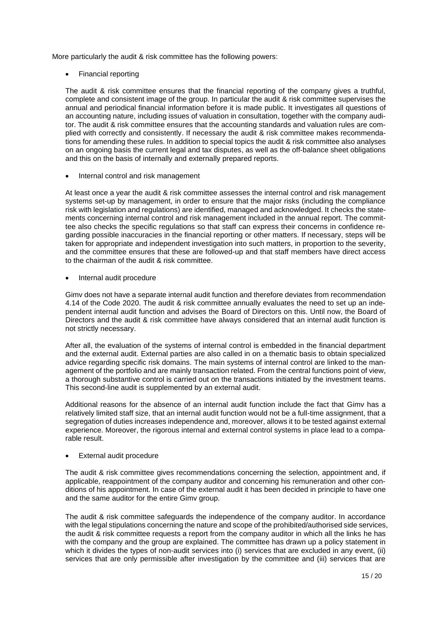More particularly the audit & risk committee has the following powers:

• Financial reporting

The audit & risk committee ensures that the financial reporting of the company gives a truthful, complete and consistent image of the group. In particular the audit & risk committee supervises the annual and periodical financial information before it is made public. It investigates all questions of an accounting nature, including issues of valuation in consultation, together with the company auditor. The audit & risk committee ensures that the accounting standards and valuation rules are complied with correctly and consistently. If necessary the audit & risk committee makes recommendations for amending these rules. In addition to special topics the audit & risk committee also analyses on an ongoing basis the current legal and tax disputes, as well as the off-balance sheet obligations and this on the basis of internally and externally prepared reports.

• Internal control and risk management

At least once a year the audit & risk committee assesses the internal control and risk management systems set-up by management, in order to ensure that the major risks (including the compliance risk with legislation and regulations) are identified, managed and acknowledged. It checks the statements concerning internal control and risk management included in the annual report. The committee also checks the specific regulations so that staff can express their concerns in confidence regarding possible inaccuracies in the financial reporting or other matters. If necessary, steps will be taken for appropriate and independent investigation into such matters, in proportion to the severity, and the committee ensures that these are followed-up and that staff members have direct access to the chairman of the audit & risk committee.

• Internal audit procedure

Gimv does not have a separate internal audit function and therefore deviates from recommendation 4.14 of the Code 2020. The audit & risk committee annually evaluates the need to set up an independent internal audit function and advises the Board of Directors on this. Until now, the Board of Directors and the audit & risk committee have always considered that an internal audit function is not strictly necessary.

After all, the evaluation of the systems of internal control is embedded in the financial department and the external audit. External parties are also called in on a thematic basis to obtain specialized advice regarding specific risk domains. The main systems of internal control are linked to the management of the portfolio and are mainly transaction related. From the central functions point of view, a thorough substantive control is carried out on the transactions initiated by the investment teams. This second-line audit is supplemented by an external audit.

Additional reasons for the absence of an internal audit function include the fact that Gimv has a relatively limited staff size, that an internal audit function would not be a full-time assignment, that a segregation of duties increases independence and, moreover, allows it to be tested against external experience. Moreover, the rigorous internal and external control systems in place lead to a comparable result.

## • External audit procedure

The audit & risk committee gives recommendations concerning the selection, appointment and, if applicable, reappointment of the company auditor and concerning his remuneration and other conditions of his appointment. In case of the external audit it has been decided in principle to have one and the same auditor for the entire Gimv group.

The audit & risk committee safeguards the independence of the company auditor. In accordance with the legal stipulations concerning the nature and scope of the prohibited/authorised side services, the audit & risk committee requests a report from the company auditor in which all the links he has with the company and the group are explained. The committee has drawn up a policy statement in which it divides the types of non-audit services into (i) services that are excluded in any event, (ii) services that are only permissible after investigation by the committee and (iii) services that are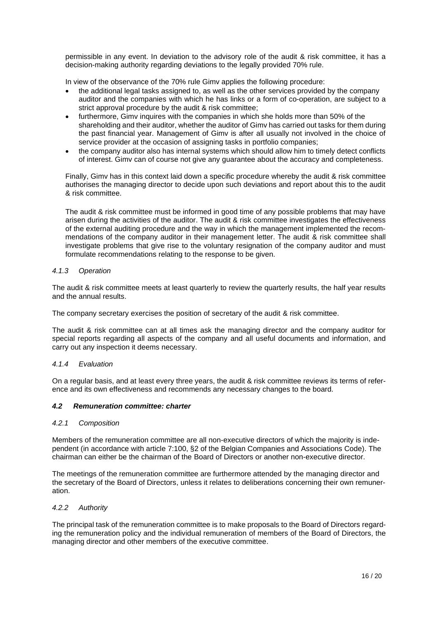permissible in any event. In deviation to the advisory role of the audit & risk committee, it has a decision-making authority regarding deviations to the legally provided 70% rule.

In view of the observance of the 70% rule Gimv applies the following procedure:

- the additional legal tasks assigned to, as well as the other services provided by the company auditor and the companies with which he has links or a form of co-operation, are subject to a strict approval procedure by the audit & risk committee;
- furthermore, Gimv inquires with the companies in which she holds more than 50% of the shareholding and their auditor, whether the auditor of Gimv has carried out tasks for them during the past financial year. Management of Gimv is after all usually not involved in the choice of service provider at the occasion of assigning tasks in portfolio companies;
- the company auditor also has internal systems which should allow him to timely detect conflicts of interest. Gimv can of course not give any guarantee about the accuracy and completeness.

Finally, Gimv has in this context laid down a specific procedure whereby the audit & risk committee authorises the managing director to decide upon such deviations and report about this to the audit & risk committee.

The audit & risk committee must be informed in good time of any possible problems that may have arisen during the activities of the auditor. The audit & risk committee investigates the effectiveness of the external auditing procedure and the way in which the management implemented the recommendations of the company auditor in their management letter. The audit & risk committee shall investigate problems that give rise to the voluntary resignation of the company auditor and must formulate recommendations relating to the response to be given.

### <span id="page-15-0"></span>*4.1.3 Operation*

The audit & risk committee meets at least quarterly to review the quarterly results, the half year results and the annual results.

The company secretary exercises the position of secretary of the audit & risk committee.

The audit & risk committee can at all times ask the managing director and the company auditor for special reports regarding all aspects of the company and all useful documents and information, and carry out any inspection it deems necessary.

#### <span id="page-15-1"></span>*4.1.4 Evaluation*

On a regular basis, and at least every three years, the audit & risk committee reviews its terms of reference and its own effectiveness and recommends any necessary changes to the board.

#### <span id="page-15-2"></span>*4.2 Remuneration committee: charter*

#### <span id="page-15-3"></span>*4.2.1 Composition*

Members of the remuneration committee are all non-executive directors of which the majority is independent (in accordance with article 7:100, §2 of the Belgian Companies and Associations Code). The chairman can either be the chairman of the Board of Directors or another non-executive director.

The meetings of the remuneration committee are furthermore attended by the managing director and the secretary of the Board of Directors, unless it relates to deliberations concerning their own remuneration.

#### <span id="page-15-4"></span>*4.2.2 Authority*

The principal task of the remuneration committee is to make proposals to the Board of Directors regarding the remuneration policy and the individual remuneration of members of the Board of Directors, the managing director and other members of the executive committee.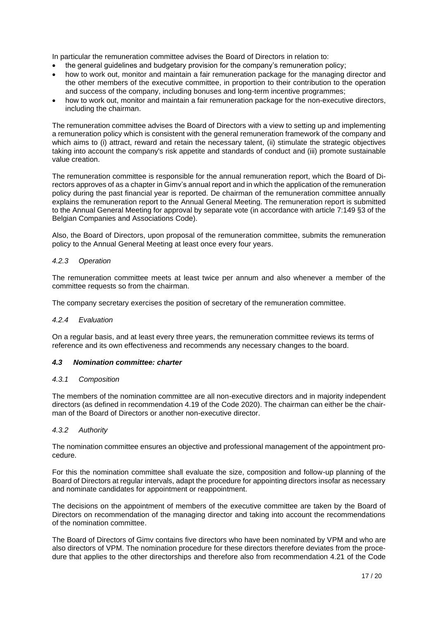In particular the remuneration committee advises the Board of Directors in relation to:

- the general guidelines and budgetary provision for the company's remuneration policy;
- how to work out, monitor and maintain a fair remuneration package for the managing director and the other members of the executive committee, in proportion to their contribution to the operation and success of the company, including bonuses and long-term incentive programmes;
- how to work out, monitor and maintain a fair remuneration package for the non-executive directors, including the chairman.

The remuneration committee advises the Board of Directors with a view to setting up and implementing a remuneration policy which is consistent with the general remuneration framework of the company and which aims to (i) attract, reward and retain the necessary talent, (ii) stimulate the strategic objectives taking into account the company's risk appetite and standards of conduct and (iii) promote sustainable value creation.

The remuneration committee is responsible for the annual remuneration report, which the Board of Directors approves of as a chapter in Gimv's annual report and in which the application of the remuneration policy during the past financial year is reported. De chairman of the remuneration committee annually explains the remuneration report to the Annual General Meeting. The remuneration report is submitted to the Annual General Meeting for approval by separate vote (in accordance with article 7:149 §3 of the Belgian Companies and Associations Code).

Also, the Board of Directors, upon proposal of the remuneration committee, submits the remuneration policy to the Annual General Meeting at least once every four years.

## <span id="page-16-0"></span>*4.2.3 Operation*

The remuneration committee meets at least twice per annum and also whenever a member of the committee requests so from the chairman.

The company secretary exercises the position of secretary of the remuneration committee.

#### <span id="page-16-1"></span>*4.2.4 Evaluation*

On a regular basis, and at least every three years, the remuneration committee reviews its terms of reference and its own effectiveness and recommends any necessary changes to the board.

#### <span id="page-16-2"></span>*4.3 Nomination committee: charter*

#### <span id="page-16-3"></span>*4.3.1 Composition*

The members of the nomination committee are all non-executive directors and in majority independent directors (as defined in recommendation 4.19 of the Code 2020). The chairman can either be the chairman of the Board of Directors or another non-executive director.

# <span id="page-16-4"></span>*4.3.2 Authority*

The nomination committee ensures an objective and professional management of the appointment procedure.

For this the nomination committee shall evaluate the size, composition and follow-up planning of the Board of Directors at regular intervals, adapt the procedure for appointing directors insofar as necessary and nominate candidates for appointment or reappointment.

The decisions on the appointment of members of the executive committee are taken by the Board of Directors on recommendation of the managing director and taking into account the recommendations of the nomination committee.

The Board of Directors of Gimv contains five directors who have been nominated by VPM and who are also directors of VPM. The nomination procedure for these directors therefore deviates from the procedure that applies to the other directorships and therefore also from recommendation 4.21 of the Code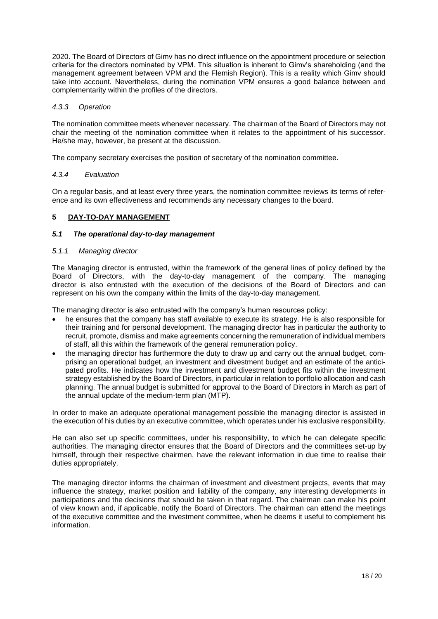2020. The Board of Directors of Gimv has no direct influence on the appointment procedure or selection criteria for the directors nominated by VPM. This situation is inherent to Gimv's shareholding (and the management agreement between VPM and the Flemish Region). This is a reality which Gimv should take into account. Nevertheless, during the nomination VPM ensures a good balance between and complementarity within the profiles of the directors.

## <span id="page-17-0"></span>*4.3.3 Operation*

The nomination committee meets whenever necessary. The chairman of the Board of Directors may not chair the meeting of the nomination committee when it relates to the appointment of his successor. He/she may, however, be present at the discussion.

The company secretary exercises the position of secretary of the nomination committee.

## <span id="page-17-1"></span>*4.3.4 Evaluation*

On a regular basis, and at least every three years, the nomination committee reviews its terms of reference and its own effectiveness and recommends any necessary changes to the board.

# <span id="page-17-2"></span>**5 DAY-TO-DAY MANAGEMENT**

## <span id="page-17-3"></span>*5.1 The operational day-to-day management*

## <span id="page-17-4"></span>*5.1.1 Managing director*

The Managing director is entrusted, within the framework of the general lines of policy defined by the Board of Directors, with the day-to-day management of the company. The managing director is also entrusted with the execution of the decisions of the Board of Directors and can represent on his own the company within the limits of the day-to-day management.

The managing director is also entrusted with the company's human resources policy:

- he ensures that the company has staff available to execute its strategy. He is also responsible for their training and for personal development*.* The managing director has in particular the authority to recruit, promote, dismiss and make agreements concerning the remuneration of individual members of staff, all this within the framework of the general remuneration policy.
- the managing director has furthermore the duty to draw up and carry out the annual budget, comprising an operational budget, an investment and divestment budget and an estimate of the anticipated profits. He indicates how the investment and divestment budget fits within the investment strategy established by the Board of Directors, in particular in relation to portfolio allocation and cash planning. The annual budget is submitted for approval to the Board of Directors in March as part of the annual update of the medium-term plan (MTP).

In order to make an adequate operational management possible the managing director is assisted in the execution of his duties by an executive committee, which operates under his exclusive responsibility.

He can also set up specific committees, under his responsibility, to which he can delegate specific authorities. The managing director ensures that the Board of Directors and the committees set-up by himself, through their respective chairmen, have the relevant information in due time to realise their duties appropriately.

<span id="page-17-5"></span>The managing director informs the chairman of investment and divestment projects, events that may influence the strategy, market position and liability of the company, any interesting developments in participations and the decisions that should be taken in that regard. The chairman can make his point of view known and, if applicable, notify the Board of Directors. The chairman can attend the meetings of the executive committee and the investment committee, when he deems it useful to complement his information.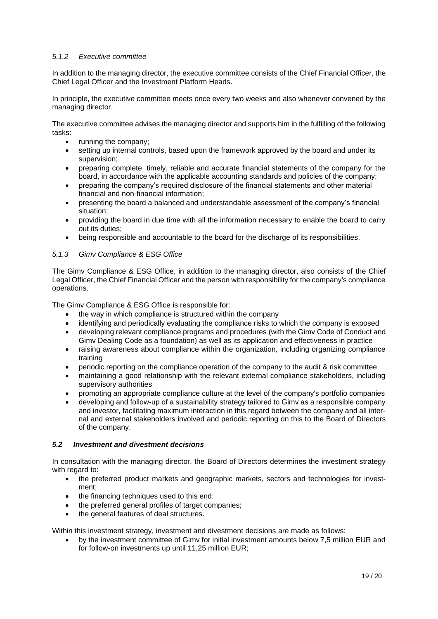# *5.1.2 Executive committee*

In addition to the managing director, the executive committee consists of the Chief Financial Officer, the Chief Legal Officer and the Investment Platform Heads.

In principle, the executive committee meets once every two weeks and also whenever convened by the managing director.

The executive committee advises the managing director and supports him in the fulfilling of the following tasks:

- running the company;
- setting up internal controls, based upon the framework approved by the board and under its supervision;
- preparing complete, timely, reliable and accurate financial statements of the company for the board, in accordance with the applicable accounting standards and policies of the company;
- preparing the company's required disclosure of the financial statements and other material financial and non-financial information;
- presenting the board a balanced and understandable assessment of the company's financial situation;
- providing the board in due time with all the information necessary to enable the board to carry out its duties;
- being responsible and accountable to the board for the discharge of its responsibilities.

## <span id="page-18-0"></span>*5.1.3 Gimv Compliance & ESG Office*

The Gimv Compliance & ESG Office, in addition to the managing director, also consists of the Chief Legal Officer, the Chief Financial Officer and the person with responsibility for the company's compliance operations.

The Gimv Compliance & ESG Office is responsible for:

- the way in which compliance is structured within the company
- identifying and periodically evaluating the compliance risks to which the company is exposed
- developing relevant compliance programs and procedures (with the Gimv Code of Conduct and Gimv Dealing Code as a foundation) as well as its application and effectiveness in practice
- raising awareness about compliance within the organization, including organizing compliance training
- periodic reporting on the compliance operation of the company to the audit & risk committee
- maintaining a good relationship with the relevant external compliance stakeholders, including supervisory authorities
- promoting an appropriate compliance culture at the level of the company's portfolio companies
- developing and follow-up of a sustainability strategy tailored to Gimv as a responsible company and investor, facilitating maximum interaction in this regard between the company and all internal and external stakeholders involved and periodic reporting on this to the Board of Directors of the company.

# <span id="page-18-1"></span>*5.2 Investment and divestment decisions*

In consultation with the managing director, the Board of Directors determines the investment strategy with regard to:

- the preferred product markets and geographic markets, sectors and technologies for investment;
- the financing techniques used to this end:
- the preferred general profiles of target companies;
- the general features of deal structures.

Within this investment strategy, investment and divestment decisions are made as follows:

• by the investment committee of Gimv for initial investment amounts below 7,5 million EUR and for follow-on investments up until 11,25 million EUR;